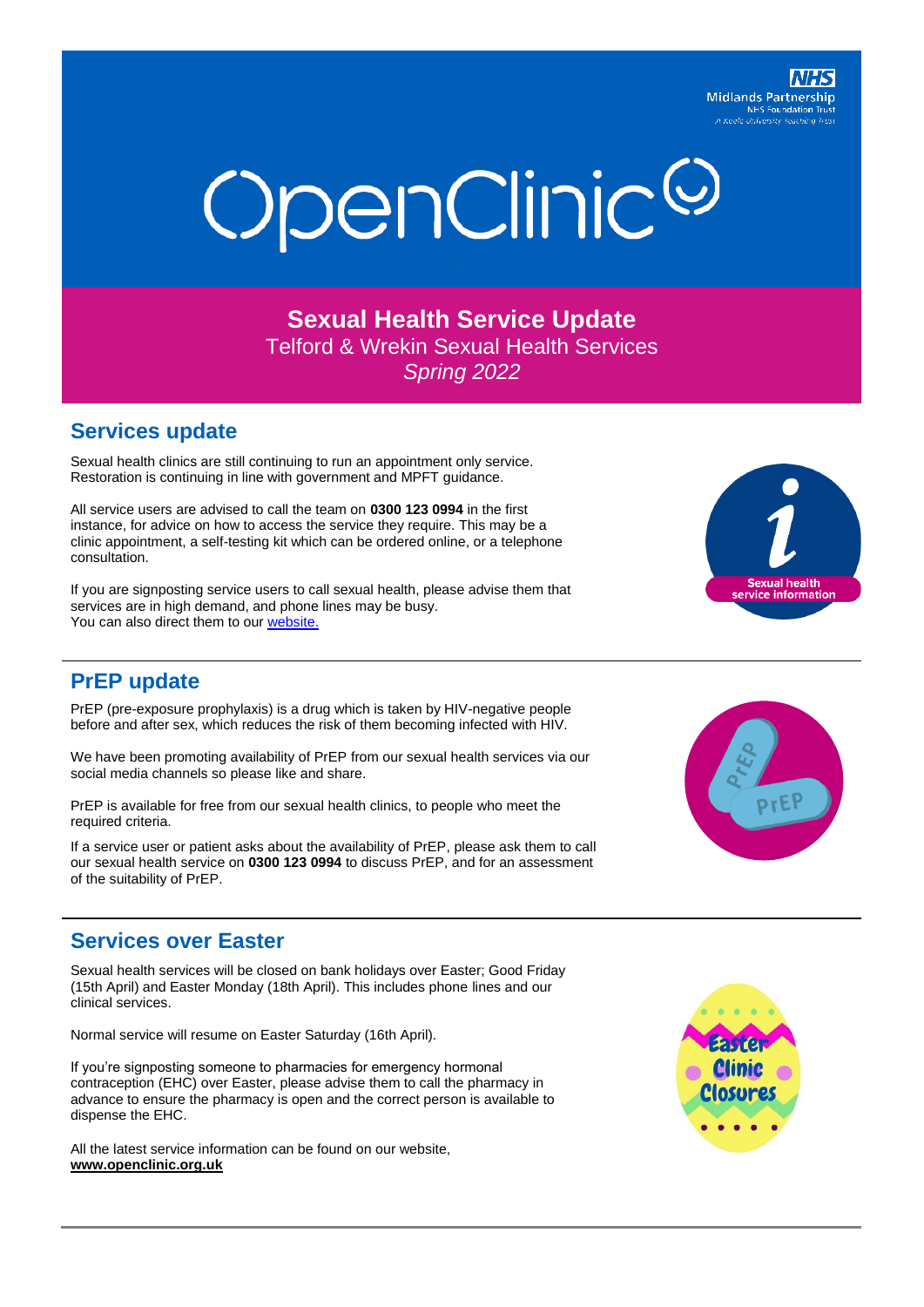#### **Midlands Partnership NHS Foundation Trust** A Keele University Teaching



**Sexual Health Service Update** Telford & Wrekin Sexual Health Services *Spring 2022*

#### **Services update**

Sexual health clinics are still continuing to run an appointment only service. Restoration is continuing in line with government and MPFT guidance.

All service users are advised to call the team on **0300 123 0994** in the first instance, for advice on how to access the service they require. This may be a clinic appointment, a self-testing kit which can be ordered online, or a telephone consultation.

If you are signposting service users to call sexual health, please advise them that services are in high demand, and phone lines may be busy. You can also direct them to our [website.](http://www.openclinic.org.uk/)



## **PrEP update**

PrEP (pre-exposure prophylaxis) is a drug which is taken by HIV-negative people before and after sex, which reduces the risk of them becoming infected with HIV.

We have been promoting availability of PrEP from our sexual health services via our social media channels so please like and share.

PrEP is available for free from our sexual health clinics, to people who meet the required criteria.

If a service user or patient asks about the availability of PrEP, please ask them to call our sexual health service on **0300 123 0994** to discuss PrEP, and for an assessment of the suitability of PrEP.



## **Services over Easter**

Sexual health services will be closed on bank holidays over Easter; Good Friday (15th April) and Easter Monday (18th April). This includes phone lines and our clinical services.

Normal service will resume on Easter Saturday (16th April).

If you're signposting someone to pharmacies for emergency hormonal contraception (EHC) over Easter, please advise them to call the pharmacy in advance to ensure the pharmacy is open and the correct person is available to dispense the EHC.

All the latest service information can be found on our website, **[www.openclinic.org.uk](http://www.openclinic.org.uk/)**